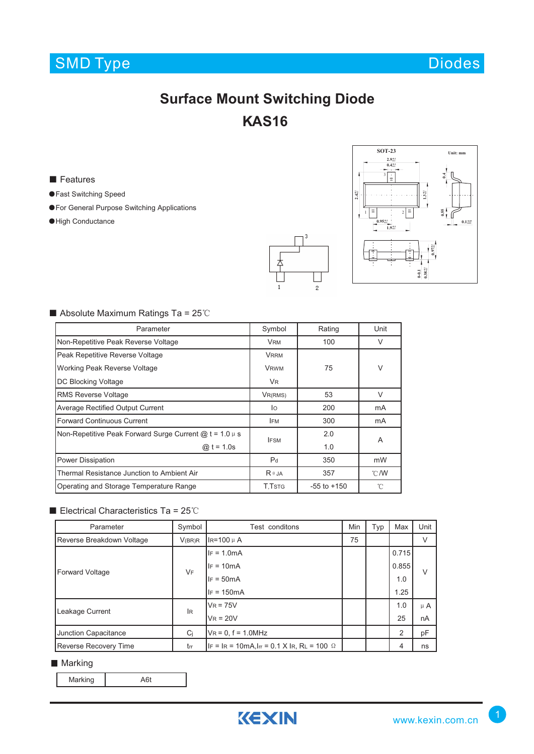# SMD Type Diodes

# **Surface Mount Switching Diode AS16 K**

■ Features

- ●Fast Switching Speed
- ●For General Purpose Switching Applications
- ●High Conductance





## ■ Absolute Maximum Ratings Ta = 25℃

| Parameter                                                  | Symbol            | Rating          | Unit          |  |
|------------------------------------------------------------|-------------------|-----------------|---------------|--|
| Non-Repetitive Peak Reverse Voltage                        | <b>VRM</b>        | 100             | $\vee$        |  |
| Peak Repetitive Reverse Voltage                            | <b>VRRM</b>       |                 |               |  |
| Working Peak Reverse Voltage                               | 75<br><b>VRWM</b> |                 | V             |  |
| DC Blocking Voltage                                        | <b>VR</b>         |                 |               |  |
| <b>RMS Reverse Voltage</b>                                 | VR(RMS)           | 53              | $\vee$        |  |
| <b>Average Rectified Output Current</b>                    | lo                | 200             | mA            |  |
| Forward Continuous Current                                 | <b>IFM</b>        | 300             | mA            |  |
| Non-Repetitive Peak Forward Surge Current $@t = 1.0 \mu s$ | <b>IFSM</b>       | 2.0             | A             |  |
| @ $t = 1.0s$                                               |                   | 1.0             |               |  |
| Power Dissipation                                          | P <sub>d</sub>    | 350             | mW            |  |
| Thermal Resistance Junction to Ambient Air                 | $R \theta$ JA     | 357             | $\degree$ C/W |  |
| Operating and Storage Temperature Range                    | T.TstG            | $-55$ to $+150$ | 'n            |  |

### ■ Electrical Characteristics Ta = 25℃

| Parameter                    | Symbol    | Test conditons                                              | Min | Typ | Max   | Unit    |  |
|------------------------------|-----------|-------------------------------------------------------------|-----|-----|-------|---------|--|
| Reverse Breakdown Voltage    | V(BR)R    | IR=100 µ A                                                  | 75  |     |       | V       |  |
| Forward Voltage              | VF        | $IF = 1.0mA$                                                |     |     | 0.715 |         |  |
|                              |           | $IF = 10mA$                                                 |     |     | 0.855 | $\vee$  |  |
|                              |           | $IF = 50mA$                                                 |     |     | 1.0   |         |  |
|                              |           | $IF = 150mA$                                                |     |     | 1.25  |         |  |
| Leakage Current              | <b>IR</b> | $V_R = 75V$                                                 |     |     | 1.0   | $\mu$ A |  |
|                              |           | $V_R = 20V$                                                 |     |     | 25    | nA      |  |
| Junction Capacitance         | Ci        | $VR = 0, f = 1.0MHz$                                        |     |     | 2     | pF      |  |
| <b>Reverse Recovery Time</b> | trr       | $ F  =  R  = 10$ mA, $ F  = 0.1$ X $ R$ , RL = 100 $\Omega$ |     |     | 4     | ns      |  |

#### **Marking**

Marking **A6t** 

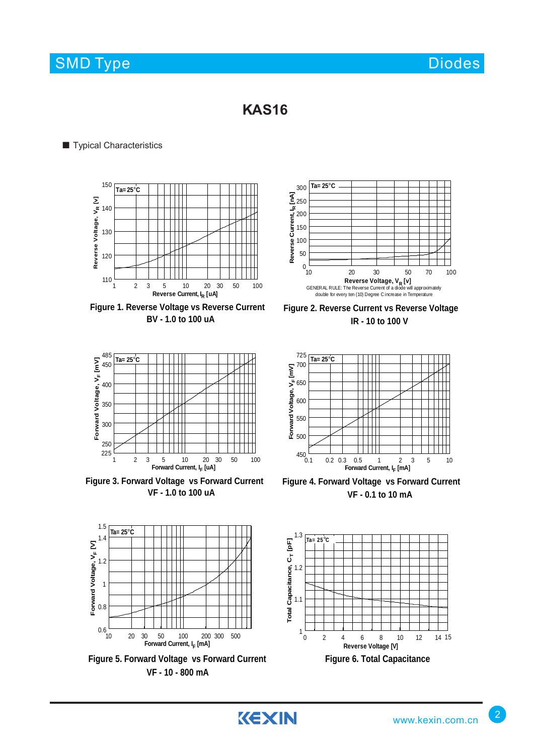## SMD Type Diodes and Diodes Diodes Diodes and Diodes Diodes and Diodes and Diodes and Diodes Diodes and Diodes

## **KAS16**

## ■ Typical Characteristics



**Figure 1. Reverse Voltage vs Reverse Current BV - 1.0 to 100 uA**



**Figure 3. Forward Voltage vs Forward Current VF - 1.0 to 100 uA**



**Figure 2. Reverse Current vs Reverse Voltage IR - 10 to 100 V**



**Figure 4. Forward Voltage vs Forward Current VF - 0.1 to 10 mA**



**VF - 10 - 800 mA**

0.6

0.8

1

**Forward Voltage, VF [V]** 1.5<br>1.4<br>1.2<br>1.2<br>1<br>0.8

Forward Voltage, V<sub>F</sub> [V]

1.2

 $1.4$ 

 $1.5$ 

**Ta= 25**°**C**

![](_page_1_Figure_14.jpeg)

2